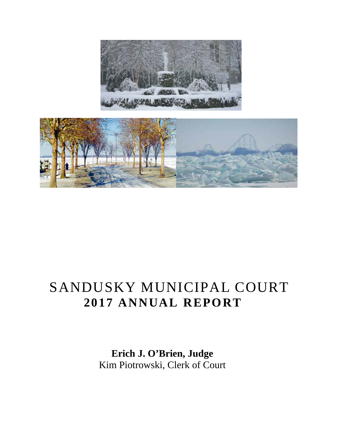



# SANDUSKY MUNICIPAL COURT **2017 ANNUAL REPORT**

 **Erich J. O'Brien, Judge** Kim Piotrowski, Clerk of Court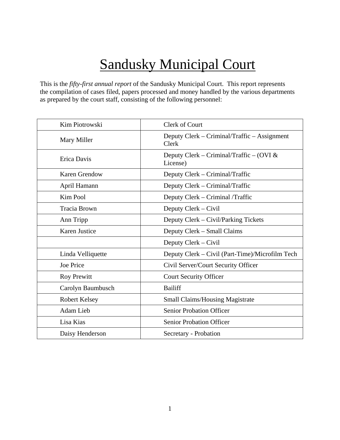# Sandusky Municipal Court

This is the *fifty-first annual report* of the Sandusky Municipal Court. This report represents the compilation of cases filed, papers processed and money handled by the various departments as prepared by the court staff, consisting of the following personnel:

| Kim Piotrowski       | Clerk of Court                                        |
|----------------------|-------------------------------------------------------|
| Mary Miller          | Deputy Clerk – Criminal/Traffic – Assignment<br>Clerk |
| Erica Davis          | Deputy Clerk - Criminal/Traffic - (OVI &<br>License)  |
| <b>Karen Grendow</b> | Deputy Clerk – Criminal/Traffic                       |
| April Hamann         | Deputy Clerk – Criminal/Traffic                       |
| <b>Kim Pool</b>      | Deputy Clerk – Criminal /Traffic                      |
| <b>Tracia Brown</b>  | Deputy Clerk – Civil                                  |
| Ann Tripp            | Deputy Clerk - Civil/Parking Tickets                  |
| Karen Justice        | Deputy Clerk - Small Claims                           |
|                      | Deputy Clerk – Civil                                  |
| Linda Velliquette    | Deputy Clerk – Civil (Part-Time)/Microfilm Tech       |
| Joe Price            | Civil Server/Court Security Officer                   |
| <b>Roy Prewitt</b>   | <b>Court Security Officer</b>                         |
| Carolyn Baumbusch    | <b>Bailiff</b>                                        |
| Robert Kelsey        | <b>Small Claims/Housing Magistrate</b>                |
| Adam Lieb            | <b>Senior Probation Officer</b>                       |
| Lisa Kias            | <b>Senior Probation Officer</b>                       |
| Daisy Henderson      | Secretary - Probation                                 |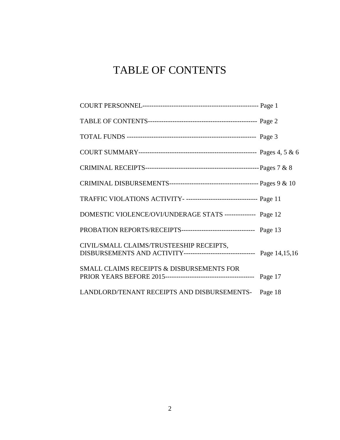# TABLE OF CONTENTS

| TRAFFIC VIOLATIONS ACTIVITY- -------------------------------- Page 11                                                |  |
|----------------------------------------------------------------------------------------------------------------------|--|
| DOMESTIC VIOLENCE/OVI/UNDERAGE STATS -------------- Page 12                                                          |  |
| PROBATION REPORTS/RECEIPTS---------------------------------- Page 13                                                 |  |
| CIVIL/SMALL CLAIMS/TRUSTEESHIP RECEIPTS,<br>DISBURSEMENTS AND ACTIVITY-------------------------------- Page 14,15,16 |  |
| SMALL CLAIMS RECEIPTS & DISBURSEMENTS FOR                                                                            |  |
| LANDLORD/TENANT RECEIPTS AND DISBURSEMENTS- Page 18                                                                  |  |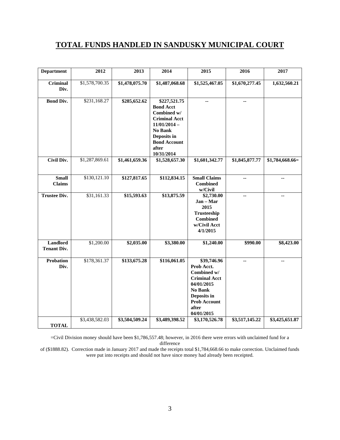#### **TOTAL FUNDS HANDLED IN SANDUSKY MUNICIPAL COURT**

| <b>Department</b>              | 2012           | 2013           | 2014                                                                                                                                                              | 2015                                                                                                                                                   | 2016           | 2017             |
|--------------------------------|----------------|----------------|-------------------------------------------------------------------------------------------------------------------------------------------------------------------|--------------------------------------------------------------------------------------------------------------------------------------------------------|----------------|------------------|
| Criminal<br>Div.               | \$1,578,700.35 | \$1,478,075.70 | \$1,487,068.68                                                                                                                                                    | \$1,525,467.05                                                                                                                                         | \$1,670,277.45 | 1,632,560.21     |
| <b>Bond Div.</b>               | \$231,168.27   | \$285,652.62   | \$227,521.75<br><b>Bond Acct</b><br>Combined w/<br><b>Criminal Acct</b><br>$11/01/2014 -$<br>No Bank<br>Deposits in<br><b>Bond Account</b><br>after<br>10/31/2014 | ä.                                                                                                                                                     | $\mathbf{u}$   |                  |
| <b>Civil Div.</b>              | \$1,287,869.61 | \$1,461,659.36 | \$1,528,657.30                                                                                                                                                    | \$1,601,342.77                                                                                                                                         | \$1,845,877.77 | $$1,784,668.66=$ |
| <b>Small</b><br><b>Claims</b>  | \$130,121.10   | \$127,817.65   | \$112,834.15                                                                                                                                                      | <b>Small Claims</b><br><b>Combined</b><br>w/Civil                                                                                                      | $\mathbf{u}$   | ш,               |
| <b>Trustee Div.</b>            | \$31,161.33    | \$15,593.63    | \$13,875.59                                                                                                                                                       | \$2,730.00<br>Jan - Mar<br>2015<br><b>Trusteeship</b><br><b>Combined</b><br>w/Civil Acct<br>4/1/2015                                                   | цü.            | $\overline{a}$   |
| Landlord<br><b>Tenant Div.</b> | \$1,200.00     | \$2,035.00     | \$3,380.00                                                                                                                                                        | \$1,240.00                                                                                                                                             | \$990.00       | \$8,423.00       |
| <b>Probation</b><br>Div.       | \$178,361.37   | \$133,675.28   | \$116,061.05                                                                                                                                                      | \$39,746.96<br>Prob Acct.<br>Combined w/<br><b>Criminal Acct</b><br>04/01/2015<br>No Bank<br>Deposits in<br><b>Prob Account</b><br>after<br>04/01/2015 | $\sim$         | $\mathbf{u}$     |
| <b>TOTAL</b>                   | \$3,438,582.03 | \$3,504,509.24 | \$3,489,398.52                                                                                                                                                    | \$3,170,526.78                                                                                                                                         | \$3,517,145.22 | \$3,425,651.87   |

=Civil Division money should have been \$1,786,557.48; however, in 2016 there were errors with unclaimed fund for a difference

of (\$1888.82). Correction made in January 2017 and made the receipts total \$1,784,668.66 to make correction. Unclaimed funds were put into receipts and should not have since money had already been receipted.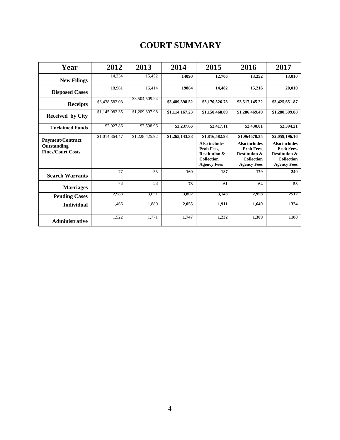### **COURT SUMMARY**

| Year                                                               | 2012           | 2013           | 2014           | 2015                                                                                                                 | 2016                                                                                                                       | 2017                                                                                                                        |
|--------------------------------------------------------------------|----------------|----------------|----------------|----------------------------------------------------------------------------------------------------------------------|----------------------------------------------------------------------------------------------------------------------------|-----------------------------------------------------------------------------------------------------------------------------|
| <b>New Filings</b>                                                 | 14,334         | 15,452         | 14090          | 12,706                                                                                                               | 13,252                                                                                                                     | 13,010                                                                                                                      |
| <b>Disposed Cases</b>                                              | 18,961         | 16,414         | 19884          | 14,482                                                                                                               | 15,216                                                                                                                     | 20,010                                                                                                                      |
| <b>Receipts</b>                                                    | \$3,438,582.03 | \$3,504,509.24 | \$3,489,398.52 | \$3,170,526.78                                                                                                       | \$3,517,145.22                                                                                                             | \$3,425,651.87                                                                                                              |
| Received by City                                                   | \$1,145,082.35 | \$1,209,397.98 | \$1,114,167.23 | \$1,150,468.09                                                                                                       | \$1,286,469.49                                                                                                             | \$1,280,509.88                                                                                                              |
| <b>Unclaimed Funds</b>                                             | \$2,027.86     | \$3,598.96     | \$3,237.66     | \$2,417.11                                                                                                           | \$2,430.01                                                                                                                 | \$2,394.21                                                                                                                  |
| <b>Payment/Contract</b><br>Outstanding<br><b>Fines/Court Costs</b> | \$1,014,364.47 | \$1,228,425.92 | \$1,265,143.38 | \$1,816,582.98<br>Also includes<br>Prob Fees,<br><b>Restitution &amp;</b><br><b>Collection</b><br><b>Agency Fees</b> | \$1,964670.35<br><b>Also includes</b><br>Prob Fees,<br><b>Restitution &amp;</b><br><b>Collection</b><br><b>Agency Fees</b> | \$2,059,196.16<br><b>Also includes</b><br>Prob Fees,<br><b>Restitution &amp;</b><br><b>Collection</b><br><b>Agency Fees</b> |
| <b>Search Warrants</b>                                             | 77             | 55             | 160            | 187                                                                                                                  | 179                                                                                                                        | 240                                                                                                                         |
| <b>Marriages</b>                                                   | 73             | 58             | 73             | 61                                                                                                                   | 64                                                                                                                         | 53                                                                                                                          |
| <b>Pending Cases</b>                                               | 2,988          | 3,651          | 3,802          | 3,143                                                                                                                | 2,958                                                                                                                      | 2512                                                                                                                        |
| <b>Individual</b>                                                  | 1,466          | 1,880          | 2,055          | 1,911                                                                                                                | 1,649                                                                                                                      | 1324                                                                                                                        |
| Administrative                                                     | 1,522          | 1,771          | 1,747          | 1,232                                                                                                                | 1,309                                                                                                                      | 1188                                                                                                                        |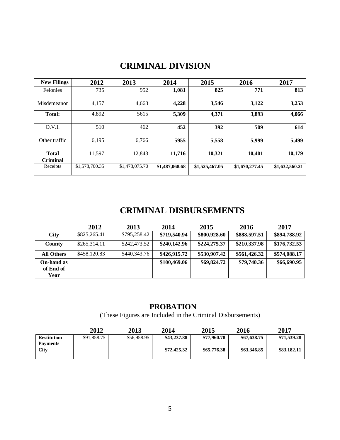### **CRIMINAL DIVISION**

| <b>New Filings</b>              | 2012           | 2013           | 2014           | 2015           | 2016           | 2017           |
|---------------------------------|----------------|----------------|----------------|----------------|----------------|----------------|
| <b>Felonies</b>                 | 735            | 952            | 1,081          | 825            | 771            | 813            |
| Misdemeanor                     | 4,157          | 4,663          | 4,228          | 3,546          | 3,122          | 3,253          |
| Total:                          | 4,892          | 5615           | 5,309          | 4,371          | 3,893          | 4,066          |
| O.V.I.                          | 510            | 462            | 452            | 392            | 509            | 614            |
| Other traffic                   | 6,195          | 6,766          | 5955           | 5,558          | 5,999          | 5,499          |
| <b>Total</b><br><b>Criminal</b> | 11,597         | 12,843         | 11,716         | 10,321         | 10,401         | 10,179         |
| Receipts                        | \$1,578,700.35 | \$1,478,075.70 | \$1,487,068.68 | \$1,525,467.05 | \$1,670,277.45 | \$1,632,560.21 |

### **CRIMINAL DISBURSEMENTS**

|                                 | 2012         | 2013         | 2014         | 2015         | 2016         | 2017         |
|---------------------------------|--------------|--------------|--------------|--------------|--------------|--------------|
| <b>City</b>                     | \$825,265.41 | \$795,258.42 | \$719,540.94 | \$800,928.60 | \$888,597.51 | \$894,788.92 |
| <b>County</b>                   | \$265,314.11 | \$242,473.52 | \$240,142.96 | \$224,275.37 | \$210,337.98 | \$176,732.53 |
| <b>All Others</b>               | \$458,120.83 | \$440,343.76 | \$426,915.72 | \$530,907.42 | \$561,426.32 | \$574,088.17 |
| On-hand as<br>of End of<br>Year |              |              | \$100,469.06 | \$69,824.72  | \$79,740.36  | \$66,690.95  |

#### **PROBATION**

(These Figures are Included in the Criminal Disbursements)

|                    | 2012        | 2013        | 2014        | 2015        | 2016        | 2017        |
|--------------------|-------------|-------------|-------------|-------------|-------------|-------------|
| <b>Restitution</b> | \$91,858.75 | \$56,958.95 | \$43,237.88 | \$77,960.78 | \$67,638.75 | \$71,539.28 |
| Payments           |             |             |             |             |             |             |
| <b>City</b>        |             |             | \$72,425.32 | \$65,776.38 | \$63,346.85 | \$83,182.11 |
|                    |             |             |             |             |             |             |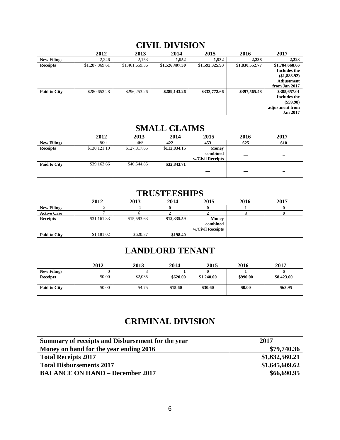|                    | 2012           | 2013           | 2014           | 2015           | 2016           | 2017            |
|--------------------|----------------|----------------|----------------|----------------|----------------|-----------------|
| <b>New Filings</b> | 2.246          | 2,153          | 1.952          | 1.932          | 2.238          | 2,223           |
| <b>Receipts</b>    | \$1,287,869.61 | \$1,461,659.36 | \$1,526,407.30 | \$1,592,325.93 | \$1,830,552.77 | \$1,784,668.66  |
|                    |                |                |                |                |                | Includes the    |
|                    |                |                |                |                |                | (\$1,888.92)    |
|                    |                |                |                |                |                | Adjustment      |
|                    |                |                |                |                |                | from Jan 2017   |
| Paid to City       | \$280,653.28   | \$296,253.26   | \$289,143.26   | \$333,772.66   | \$397,565.48   | \$385,657.01    |
|                    |                |                |                |                |                | Includes the    |
|                    |                |                |                |                |                | $(\$59.98)$     |
|                    |                |                |                |                |                | adjustment from |
|                    |                |                |                |                |                | <b>Jan 2017</b> |

#### **CIVIL DIVISION**

#### **SMALL CLAIMS**

|                    | 2012         | 2013         | 2014         | 2015                                  | 2016                     | 2017                     |
|--------------------|--------------|--------------|--------------|---------------------------------------|--------------------------|--------------------------|
| <b>New Filings</b> | 500          | 465          | 422          | 453                                   | 625                      | 610                      |
| <b>Receipts</b>    | \$130,121.10 | \$127,817.65 | \$112,834.15 | Money<br>combined<br>w/Civil Receipts | $\overline{\phantom{a}}$ | $\overline{\phantom{0}}$ |
| Paid to City       | \$39,163.66  | \$40,544.85  | \$32,843.71  | $\overline{\phantom{a}}$              | $\overline{\phantom{a}}$ | $\overline{\phantom{0}}$ |

### **TRUSTEESHIPS 2012 2013 2014 2015 2016 2017**

|                    | 2012        | 2013        | 2014        | 2015             | 2016 | 2017 |
|--------------------|-------------|-------------|-------------|------------------|------|------|
| <b>New Filings</b> |             |             |             |                  |      |      |
| <b>Active Case</b> |             |             |             |                  |      |      |
| <b>Receipts</b>    | \$31,161.33 | \$15,593.63 | \$12,335.59 | Money            |      |      |
|                    |             |             |             | combined         |      |      |
|                    |             |             |             | w/Civil Receipts |      |      |
| Paid to City       | \$1,181.02  | \$620.37    | \$198.40    |                  |      |      |

### **LANDLORD TENANT**

|                    | 2012   | 2013    | 2014     | 2015       | 2016     | 2017       |
|--------------------|--------|---------|----------|------------|----------|------------|
| <b>New Filings</b> |        |         |          |            |          |            |
| <b>Receipts</b>    | \$0.00 | \$2,035 | \$620.00 | \$1,240.00 | \$990.00 | \$8,423.00 |
| Paid to City       | \$0.00 | \$4.75  | \$15.60  | \$30.60    | \$0.00   | \$63.95    |

### **CRIMINAL DIVISION**

| Summary of receipts and Disbursement for the year | 2017           |
|---------------------------------------------------|----------------|
| Money on hand for the year ending 2016            | \$79,740.36    |
| <b>Total Receipts 2017</b>                        | \$1,632,560.21 |
| <b>Total Disbursements 2017</b>                   | \$1,645,609.62 |
| <b>BALANCE ON HAND – December 2017</b>            | \$66,690.95    |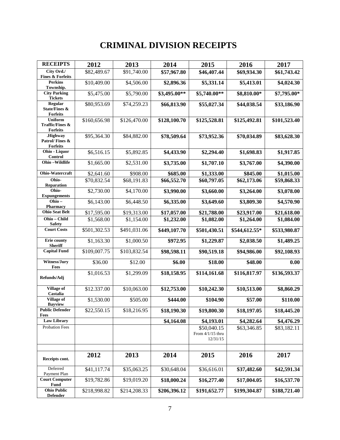### **CRIMINAL DIVISION RECEIPTS**

| <b>RECEIPTS</b>                                                 | 2012         | 2013         | 2014         | 2015                                        | 2016          | 2017         |
|-----------------------------------------------------------------|--------------|--------------|--------------|---------------------------------------------|---------------|--------------|
| City Ord./<br><b>Fines &amp; Forfeits</b>                       | \$82,489.67  | \$91,740.00  | \$57,967.80  | \$46,407.44                                 | \$69,934.30   | \$61,743.42  |
| <b>Perkins</b><br>Township.                                     | \$10,409.00  | \$4,506.00   | \$2,896.36   | \$5,331.14                                  | \$5,413.01    | \$4,024.30   |
| <b>City Parking</b><br><b>Tickets</b>                           | \$5,475.00   | \$5,790.00   | \$3,495.00** | \$5,740.00**                                | \$8,810.00*   | \$7,795.00*  |
| Regular<br><b>State/Fines &amp;</b><br><b>Forfeits</b>          | \$80,953.69  | \$74,259.23  | \$66,813.90  | \$55,027.34                                 | \$44,038.54   | \$33,186.90  |
| <b>Uniform</b><br><b>Traffic/Fines &amp;</b><br><b>Forfeits</b> | \$160,656.98 | \$126,470.00 | \$128,100.70 | \$125,528.81                                | \$125,492.81  | \$101,523.40 |
| .Highway<br>Patrol/Fines &<br><b>Forfeits</b>                   | \$95,364.30  | \$84,882.00  | \$78,509.64  | \$73,952.36                                 | \$70,034.89   | \$83,628.30  |
| Ohio - Liquor<br>Control                                        | \$6,516.15   | \$5,892.85   | \$4,433.90   | \$2,294.40                                  | \$1,698.83    | \$1,917.85   |
| Ohio-Wildlife                                                   | \$1,665.00   | \$2,531.00   | \$3,735.00   | \$1,707.10                                  | \$3,767.00    | \$4,390.00   |
| Ohio-Watercraft                                                 | \$2,641.60   | \$908.00     | \$685.00     | \$1,333.00                                  | \$845.00      | \$1,015.00   |
| Ohio-<br><b>Reparation</b>                                      | \$70,832.54  | \$68,191.83  | \$66,552.70  | \$60,797.05                                 | \$62,173.06   | \$59,868.33  |
| Ohio-<br><b>Expungements</b>                                    | \$2,730.00   | \$4,170.00   | \$3,990.00   | \$3,660.00                                  | \$3,264.00    | \$3,078.00   |
| Ohio-<br>Pharmacy                                               | \$6,143.00   | \$6,448.50   | \$6,335.00   | \$3,649.60                                  | \$3,809.30    | \$4,570.90   |
| <b>Ohio Seat Belt</b>                                           | \$17,595.00  | \$19,313.00  | \$17,057.00  | \$21,788.00                                 | \$23,917.00   | \$21,618.00  |
| Ohio - Child<br><b>Safety</b>                                   | \$1,568.00   | \$1,154.00   | \$1,232.00   | \$1,082.00                                  | \$1,264.00    | \$1,084.00   |
| <b>Court Costs</b>                                              | \$501,302.53 | \$491,031.06 | \$449,107.70 | \$501,430.51                                | \$544,612.55* | \$533,980.87 |
| <b>Erie county</b><br><b>Sheriff</b>                            | \$1,163.30   | \$1,000.50   | \$972.95     | \$1,229.87                                  | \$2,038.50    | \$1,489.25   |
| <b>Capital Fund</b>                                             | \$109,007.75 | \$103,832.54 | \$98,598.11  | \$90,519.18                                 | \$94,986.00   | \$92,108.93  |
| Witness/Jury<br>Fees                                            | \$36.00      | \$12.00      | \$6.00       | \$18.00                                     | \$48.00       | 0.00         |
| Refunds/Adj                                                     | \$1,016.53   | \$1,299.09   | \$18,158.95  | \$114,161.68                                | \$116,817.97  | \$136,593.37 |
| <b>Village of</b><br>Castalia                                   | \$12.337.00  | \$10,063.00  | \$12,753.00  | \$10,242.30                                 | \$10,513.00   | \$8,860.29   |
| <b>Village of</b><br><b>Bayview</b>                             | \$1,530.00   | \$505.00     | \$444.00     | \$104.90                                    | \$57.00       | \$110.00     |
| <b>Public Defender</b><br><b>Fees</b>                           | \$22,550.15  | \$18,216.95  | \$18,190.30  | \$19,800.30                                 | \$18,197.05   | \$18,445.20  |
| <b>Law Library</b>                                              |              |              | \$4,164.08   | \$4,193.01                                  | \$4,282.64    | \$4,476.29   |
| Probation Fees                                                  |              |              |              | \$50,040.15<br>From 4/1/15 thru<br>12/31/15 | \$63,346.85   | \$83,182.11  |
|                                                                 |              |              |              |                                             |               |              |
| Receipts cont.                                                  | 2012         | 2013         | 2014         | 2015                                        | 2016          | 2017         |
| Deferred<br>Payment Plan                                        | \$41,117.74  | \$35,063.25  | \$30,648.04  | \$36,616.01                                 | \$37,482.60   | \$42,591.34  |
| <b>Court Computer</b><br><b>Fund</b>                            | \$19,782.86  | \$19,019.20  | \$18,000.24  | \$16,277.40                                 | \$17,004.05   | \$16,537.70  |
| <b>Ohio Public</b><br><b>Defender</b>                           | \$218,998.82 | \$214,208.33 | \$206,396.12 | \$191,652.77                                | \$199,304.87  | \$188,721.40 |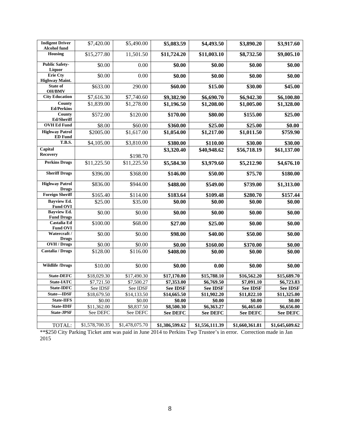| <b>Indigent Driver</b><br><b>Alcohol fund</b> | \$7,420.00         | \$5,490.00           | \$5,083.59              | \$4,493.50      | \$3,890.20      | \$3,917.60      |
|-----------------------------------------------|--------------------|----------------------|-------------------------|-----------------|-----------------|-----------------|
| <b>Housing</b>                                | \$15,277.80        | 11,501.50            | \$11,724.20             | \$11,003.10     | \$8,732.50      | \$9,005.10      |
| <b>Public Safety-</b><br>Liquor               | \$0.00             | 0.00                 | \$0.00                  | \$0.00          | \$0.00          | \$0.00          |
| <b>Erie Cty</b><br><b>Highway Maint.</b>      | \$0.00             | 0.00                 | \$0.00                  | \$0.00          | \$0.00          | \$0.00          |
| State of<br><b>OH/BMV</b>                     | \$633.00           | 290.00               | \$60.00                 | \$15.00         | \$30.00         | \$45.00         |
| <b>City Education</b>                         | \$7,616.30         | \$7,740.60           | \$9,382.90              | \$6,690.70      | \$6,942.30      | \$6,100.80      |
| County<br><b>Ed/Perkins</b>                   | \$1,839.00         | \$1,278.00           | \$1,196.50              | \$1,208.00      | \$1,005.00      | \$1,328.00      |
| County<br><b>Ed/Sheriff</b>                   | \$572.00           | \$120.00             | \$170.00                | \$80.00         | \$155.00        | \$25.00         |
| <b>OVH Ed Fund</b>                            | \$8.00             | \$60.00              | \$360.00                | \$25.00         | \$25.00         | \$0.00          |
| <b>Highway Patrol</b><br><b>ED</b> Fund       | \$2005.00          | \$1,617.00           | \$1,054.00              | \$1,217.00      | \$1,011.50      | \$759.90        |
| <b>T.B.S.</b>                                 | \$4,105.00         | \$3,810.00           | \$380.00                | \$110.00        | \$30.00         | \$30.00         |
| Capital<br><b>Recovery</b>                    |                    | \$198.70             | \$3,320.40              | \$40,948.62     | \$56,718.19     | \$61,137.00     |
| <b>Perkins Drugs</b>                          | \$11,225.50        | \$11,225.50          | \$5,584.30              | \$3,979.60      | \$5,212.90      | \$4,676.10      |
| <b>Sheriff Drugs</b>                          | \$396.00           | \$368.00             | \$146.00                | \$50.00         | \$75.70         | \$180.00        |
| <b>Highway Patrol</b><br><b>Drugs</b>         | \$836.00           | \$944.00             | \$488.00                | \$549.00        | \$739.00        | \$1,313.00      |
| <b>Foreign Sheriff</b>                        | \$165.40           | \$114.00             | \$183.64                | \$109.48        | \$280.70        | \$157.44        |
| <b>Bayview Ed.</b><br><b>Fund OVI</b>         | \$25.00            | \$35.00              | \$0.00                  | \$0.00          | \$0.00          | \$0.00          |
| <b>Bayview Ed.</b><br><b>Fund Drugs</b>       | $\overline{$}0.00$ | \$0.00               | \$0.00                  | \$0.00          | \$0.00          | \$0.00          |
| Castalia Ed<br><b>Fund OVI</b>                | \$100.00           | \$68.00              | \$27.00                 | \$25.00         | \$0.00          | \$0.00          |
| Watercraft /<br><b>Drugs</b>                  | \$0.00             | \$0.00               | \$98.00                 | \$40.00         | \$50.00         | \$0.00          |
| OVH / Drugs                                   | \$0.00             | \$0.00               | \$0.00                  | \$160.00        | \$370.00        | \$0.00          |
| <b>Castalia / Drugs</b>                       | \$128.00           | $\overline{$}116.00$ | \$408.00                | \$0.00          | \$0.00          | \$0.00          |
| <b>Wildlife /Drugs</b>                        | \$10.00            | \$0.00               | \$0.00                  | 0.00            | \$0.00          | \$0.00          |
| <b>State-DEFC</b>                             | \$18,029.30        | \$17,490.30          | $\overline{$17,170.80}$ | \$15,788.10     | \$16,562.20     | \$15,689.70     |
| <b>State-IATC</b>                             | \$7,721.50         | \$7,500.27           | \$7,353.00              | \$6,769.50      | \$7,091.10      | \$6,723.83      |
| State-IDFC                                    | See IDSF           | See IDSF             | <b>See IDSF</b>         | <b>See IDSF</b> | <b>See IDSF</b> | <b>See IDSF</b> |
| State-IDSF                                    | \$18,679.50        | \$14,133.50          | \$14,665.50             | \$11,902.20     | \$11,822.10     | \$11,325.00     |
| <b>State-IIFS</b>                             | \$0.00             | \$0.00               | \$0.00                  | \$0.00          | \$0.00          | \$0.00          |
| <b>State-IDIF</b>                             | \$11,362.00        | \$8,837.50           | \$8,500.30              | \$6,363.27      | \$6,465.60      | \$6,656.00      |
| <b>State-JPSF</b>                             | See DEFC           | See DEFC             | <b>See DEFC</b>         | <b>See DEFC</b> | <b>See DEFC</b> | <b>See DEFC</b> |
| TOTAL:                                        | \$1,578,700.35     | \$1,478,075.70       | \$1,386,599.62          | \$1,556,111.39  | \$1,660,361.81  | \$1,645,609.62  |

\*\*\$250 City Parking Ticket amt was paid in June 2014 to Perkins Twp Trustee's in error. Correction made in Jan 2015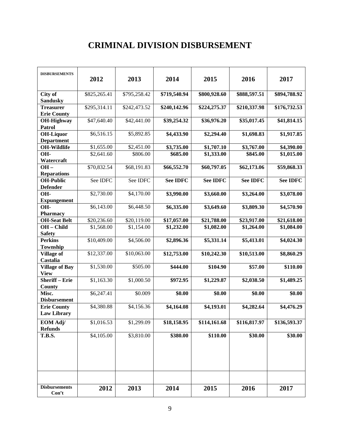### **CRIMINAL DIVISION DISBURSEMENT**

| <b>DISBURSEMENTS</b>                     | 2012         | 2013         | 2014            | 2015            | 2016            | 2017            |
|------------------------------------------|--------------|--------------|-----------------|-----------------|-----------------|-----------------|
| City of<br><b>Sandusky</b>               | \$825,265.41 | \$795,258.42 | \$719,540.94    | \$800,928.60    | \$888,597.51    | \$894,788.92    |
| <b>Treasurer</b><br><b>Erie County</b>   | \$295,314.11 | \$242,473.52 | \$240,142.96    | \$224,275.37    | \$210,337.98    | \$176,732.53    |
| <b>OH-Highway</b><br>Patrol              | \$47,640.40  | \$42,441.00  | \$39,254.32     | \$36,976.20     | \$35,017.45     | \$41,814.15     |
| <b>OH-Liquor</b><br><b>Department</b>    | \$6,516.15   | \$5,892.85   | \$4,433.90      | \$2,294.40      | \$1,698.83      | \$1,917.85      |
| <b>OH-Wildlife</b>                       | \$1,655.00   | \$2,451.00   | \$3,735.00      | \$1,707.10      | \$3,767.00      | \$4,390.00      |
| OH-<br>Watercraft                        | \$2,641.60   | \$806.00     | \$685.00        | \$1,333.00      | \$845.00        | \$1,015.00      |
| $OH -$<br><b>Reparations</b>             | \$70,832.54  | \$68,191.83  | \$66,552.70     | \$60,797.05     | \$62,173.06     | \$59,868.33     |
| <b>OH-Public</b><br><b>Defender</b>      | See IDFC     | See IDFC     | <b>See IDFC</b> | <b>See IDFC</b> | <b>See IDFC</b> | <b>See IDFC</b> |
| OH-<br><b>Expungement</b>                | \$2,730.00   | \$4,170.00   | \$3,990.00      | \$3,660.00      | \$3,264.00      | \$3,078.00      |
| OH-<br><b>Pharmacy</b>                   | \$6,143.00   | \$6,448.50   | \$6,335.00      | \$3,649.60      | \$3,809.30      | \$4,570.90      |
| <b>OH-Seat Belt</b>                      | \$20,236.60  | \$20,119.00  | \$17,057.00     | \$21,788.00     | \$23,917.00     | \$21,618.00     |
| OH - Child<br><b>Safety</b>              | \$1,568.00   | \$1,154.00   | \$1,232.00      | \$1,082.00      | \$1,264.00      | \$1,084.00      |
| <b>Perkins</b><br>Township               | \$10,409.00  | \$4,506.00   | \$2,896.36      | \$5,331.14      | \$5,413.01      | \$4,024.30      |
| <b>Village of</b><br>Castalia            | \$12,337.00  | \$10,063.00  | \$12,753.00     | \$10,242.30     | \$10,513.00     | \$8,860.29      |
| <b>Village of Bay</b><br><b>View</b>     | \$1,530.00   | \$505.00     | \$444.00        | \$104.90        | \$57.00         | \$110.00        |
| <b>Sheriff-Erie</b><br>County            | \$1,163.30   | \$1,000.50   | \$972.95        | \$1,229.87      | \$2,038.50      | \$1,489.25      |
| Misc.<br><b>Disbursement</b>             | \$6,247.41   | \$0.009      | \$0.00          | \$0.00          | \$0.00          | \$0.00          |
| <b>Erie County</b><br><b>Law Library</b> | \$4,380.88   | \$4,156.36   | \$4,164.08      | \$4,193.01      | \$4,282.64      | \$4,476.29      |
| EOM Adj/<br><b>Refunds</b>               | \$1,016.53   | \$1,299.09   | \$18,158.95     | \$114,161.68    | \$116,817.97    | \$136,593.37    |
| <b>T.B.S.</b>                            | \$4,105.00   | \$3,810.00   | \$380.00        | \$110.00        | \$30.00         | \$30.00         |
| <b>Disbursements</b><br>Con't            | 2012         | 2013         | 2014            | 2015            | 2016            | 2017            |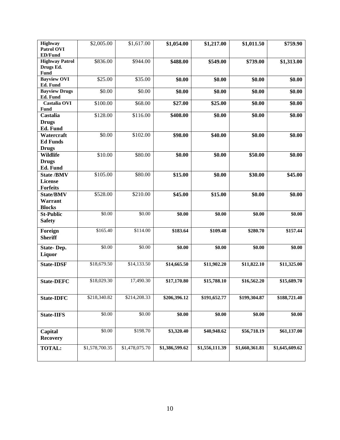| <b>Highway</b><br><b>Patrol OVI</b><br><b>ED/Fund</b>  | \$2,005.00     | \$1,617.00     | \$1,054.00     | \$1,217.00     | \$1,011.50     | \$759.90       |
|--------------------------------------------------------|----------------|----------------|----------------|----------------|----------------|----------------|
| <b>Highway Patrol</b><br>Drugs Ed.<br><b>Fund</b>      | \$836.00       | \$944.00       | \$488.00       | \$549.00       | \$739.00       | \$1,313.00     |
| <b>Bayview OVI</b><br>Ed. Fund                         | \$25.00        | \$35.00        | \$0.00         | \$0.00         | \$0.00         | \$0.00         |
| <b>Bayview Drugs</b><br>Ed. Fund                       | \$0.00         | \$0.00         | \$0.00         | \$0.00         | \$0.00         | \$0.00         |
| Castalia OVI<br>Fund                                   | \$100.00       | \$68.00        | \$27.00        | \$25.00        | \$0.00         | \$0.00         |
| Castalia<br><b>Drugs</b><br>Ed. Fund                   | \$128.00       | \$116.00       | \$408.00       | \$0.00         | \$0.00         | \$0.00         |
| Watercraft<br><b>Ed Funds</b><br><b>Drugs</b>          | \$0.00         | \$102.00       | \$98.00        | \$40.00        | \$0.00         | \$0.00         |
| Wildlife<br><b>Drugs</b><br>Ed. Fund                   | \$10.00        | \$80.00        | \$0.00         | \$0.00         | \$50.00        | \$0.00         |
| <b>State /BMV</b><br><b>License</b><br><b>Forfeits</b> | \$105.00       | \$80.00        | \$15.00        | \$0.00         | \$30.00        | \$45.00        |
| <b>State/BMV</b><br>Warrant<br><b>Blocks</b>           | \$528.00       | \$210.00       | \$45.00        | \$15.00        | \$0.00         | \$0.00         |
| <b>St-Public</b><br><b>Safety</b>                      | \$0.00         | \$0.00         | \$0.00         | \$0.00         | \$0.00         | \$0.00         |
| Foreign<br><b>Sheriff</b>                              | \$165.40       | \$114.00       | \$183.64       | \$109.48       | \$280.70       | \$157.44       |
| <b>State-Dep.</b><br><b>Liquor</b>                     | \$0.00         | \$0.00         | \$0.00         | \$0.00         | \$0.00         | \$0.00         |
| <b>State-IDSF</b>                                      | \$18,679.50    | \$14,133.50    | \$14,665.50    | \$11,902.20    | \$11,822.10    | \$11,325.00    |
| <b>State-DEFC</b>                                      | \$18,029.30    | 17,490.30      | \$17,170.80    | \$15,788.10    | \$16,562.20    | \$15,689.70    |
| <b>State-IDFC</b>                                      | \$218,340.82   | \$214,208.33   | \$206,396.12   | \$191,652.77   | \$199,304.87   | \$188,721.40   |
| <b>State-IIFS</b>                                      | \$0.00         | \$0.00         | \$0.00         | \$0.00         | \$0.00         | \$0.00         |
| Capital<br><b>Recovery</b>                             | \$0.00         | \$198.70       | \$3,320.40     | \$40,948.62    | \$56,718.19    | \$61,137.00    |
| <b>TOTAL:</b>                                          | \$1,578,700.35 | \$1,478,075.70 | \$1,386,599.62 | \$1,556,111.39 | \$1,660,361.81 | \$1,645,609.62 |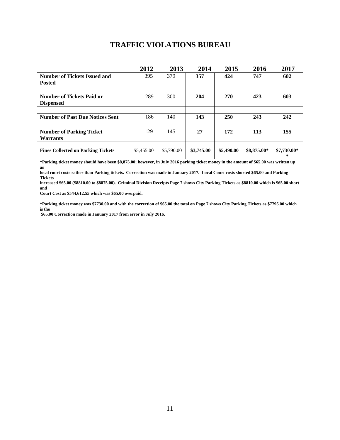#### **TRAFFIC VIOLATIONS BUREAU**

|                                           | 2012       | 2013       | 2014       | 2015       | 2016        | 2017             |
|-------------------------------------------|------------|------------|------------|------------|-------------|------------------|
| <b>Number of Tickets Issued and</b>       | 395        | 379        | 357        | 424        | 747         | 602              |
| <b>Posted</b>                             |            |            |            |            |             |                  |
|                                           |            |            |            |            |             |                  |
| <b>Number of Tickets Paid or</b>          | 289        | 300        | 204        | 270        | 423         | 603              |
| <b>Dispensed</b>                          |            |            |            |            |             |                  |
|                                           |            |            |            |            |             |                  |
| <b>Number of Past Due Notices Sent</b>    | 186        | 140        | 143        | <b>250</b> | 243         | 242              |
|                                           |            |            |            |            |             |                  |
| <b>Number of Parking Ticket</b>           | 129        | 145        | 27         | 172        | 113         | 155              |
| <b>Warrants</b>                           |            |            |            |            |             |                  |
| <b>Fines Collected on Parking Tickets</b> | \$5,455.00 | \$5,790.00 | \$3,745.00 | \$5,490.00 | \$8,875.00* | \$7,730.00*<br>∗ |

**\*Parking ticket money should have been \$8,875.00; however, in July 2016 parking ticket money in the amount of \$65.00 was written up as** 

**local court costs rather than Parking tickets. Correction was made in January 2017. Local Court costs shorted \$65.00 and Parking Tickets** 

**increased \$65.00 (\$8810.00 to \$8875.00). Criminal Division Receipts Page 7 shows City Parking Tickets as \$8810.00 which is \$65.00 short and** 

**Court Cost as \$544,612.55 which was \$65.00 overpaid.**

**\*Parking ticket money was \$7730.00 and with the correction of \$65.00 the total on Page 7 shows City Parking Tickets as \$7795.00 which is the**

**\$65.00 Correction made in January 2017 from error in July 2016.**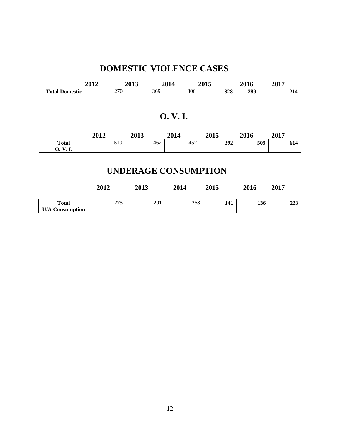### **DOMESTIC VIOLENCE CASES**

|                       | 2012 | 2013 | 2014 | <b>2015</b> | 2016 | 2017 |
|-----------------------|------|------|------|-------------|------|------|
| <b>Total Domestic</b> | 270  | 369  | 306  | 328         | 289  | 214  |

### **O. V. I.**

|                    | 2012 | 2013 | 2014 | 2015 | 2016 | 2017      |
|--------------------|------|------|------|------|------|-----------|
| <b>Total</b>       | 510  | 462  | 452  | 392  | 509  | ٢1<br>014 |
| J.<br><b>v. 1.</b> |      |      |      |      |      |           |

### **UNDERAGE CONSUMPTION**

|                                        | 2012 | 2013 | 2014 | 2015 | 2016 | 2017 |
|----------------------------------------|------|------|------|------|------|------|
| <b>Total</b><br><b>U/A Consumption</b> | 275  | 291  | 268  | 141  | 136  | 223  |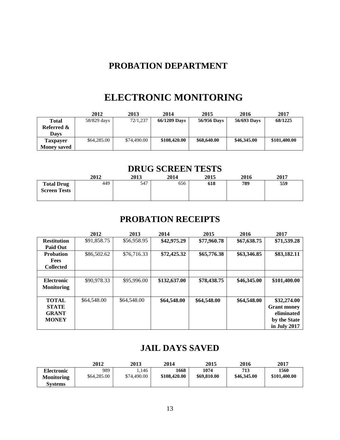### **PROBATION DEPARTMENT**

## **ELECTRONIC MONITORING**

|                    | 2012        | 2013        | 2014         | 2015        | 2016        | 2017         |
|--------------------|-------------|-------------|--------------|-------------|-------------|--------------|
| <b>Total</b>       | 58/829 days | 72/1,237    | 66/1209 Days | 56/956 Days | 56/693 Days | 68/1225      |
| Referred &         |             |             |              |             |             |              |
| <b>Days</b>        |             |             |              |             |             |              |
| Taxpayer           | \$64,285.00 | \$74,490.00 | \$108,420.00 | \$68,640.00 | \$46,345.00 | \$101,400.00 |
| <b>Money saved</b> |             |             |              |             |             |              |

#### **DRUG SCREEN TESTS**

|                                          | 2012 | 2013 | 2014 | 2015 | 2016 | 2017 |
|------------------------------------------|------|------|------|------|------|------|
| <b>Total Drug</b><br><b>Screen Tests</b> | 449  | 547  | 656  | 618  | 789  | 559  |

### **PROBATION RECEIPTS**

|                    | 2012        | 2013        | 2014         | 2015        | 2016        | 2017               |
|--------------------|-------------|-------------|--------------|-------------|-------------|--------------------|
| <b>Restitution</b> | \$91,858.75 | \$56,958.95 | \$42,975.29  | \$77,960.78 | \$67,638.75 | \$71,539.28        |
| <b>Paid Out</b>    |             |             |              |             |             |                    |
| <b>Probation</b>   | \$86,502.62 | \$76,716.33 | \$72,425.32  | \$65,776.38 | \$63,346.85 | \$83,182.11        |
| <b>Fees</b>        |             |             |              |             |             |                    |
| <b>Collected</b>   |             |             |              |             |             |                    |
|                    |             |             |              |             |             |                    |
| <b>Electronic</b>  | \$90,978.33 | \$95,996.00 | \$132,637.00 | \$78,438.75 | \$46,345.00 | \$101,400.00       |
| <b>Monitoring</b>  |             |             |              |             |             |                    |
|                    |             |             |              |             |             |                    |
| <b>TOTAL</b>       | \$64,548.00 | \$64,548.00 | \$64,548.00  | \$64,548.00 | \$64,548.00 | \$32,274.00        |
| <b>STATE</b>       |             |             |              |             |             | <b>Grant money</b> |
| <b>GRANT</b>       |             |             |              |             |             | eliminated         |
| <b>MONEY</b>       |             |             |              |             |             | by the State       |
|                    |             |             |              |             |             | in July 2017       |

#### **JAIL DAYS SAVED**

|                                        | 2012               | 2013                | 2014                 | 2015                | 2016               | 2017                 |
|----------------------------------------|--------------------|---------------------|----------------------|---------------------|--------------------|----------------------|
| <b>Electronic</b><br><b>Monitoring</b> | 989<br>\$64,285,00 | .146<br>\$74,490.00 | 1668<br>\$108,420.00 | 1074<br>\$69,810.00 | 713<br>\$46,345.00 | 1560<br>\$101,400.00 |
| <b>Systems</b>                         |                    |                     |                      |                     |                    |                      |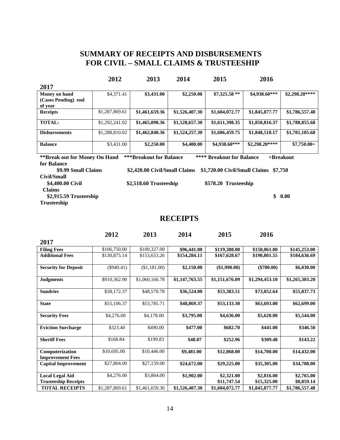#### **SUMMARY OF RECEIPTS AND DISBURSEMENTS FOR CIVIL – SMALL CLAIMS & TRUSTEESHIP**

|                                                                                                                                    | 2012           | 2013                          | 2014           | 2015                          | 2016           |                |  |  |
|------------------------------------------------------------------------------------------------------------------------------------|----------------|-------------------------------|----------------|-------------------------------|----------------|----------------|--|--|
| 2017                                                                                                                               |                |                               |                |                               |                |                |  |  |
| Money on hand                                                                                                                      | \$4,371.41     | \$3,431.00                    | \$2,250.00     | $$7,325.58**$                 | \$4,938.60***  | \$2,298.20**** |  |  |
| (Cases Pending) end                                                                                                                |                |                               |                |                               |                |                |  |  |
| of year                                                                                                                            |                |                               |                |                               |                |                |  |  |
| <b>Receipts</b>                                                                                                                    | \$1,287,869.61 | \$1,461,659.36                | \$1,526,407.30 | \$1,604,072.77                | \$1,845,877.77 | \$1,786,557.48 |  |  |
| <b>TOTAL:</b>                                                                                                                      | \$1,292,241.02 | \$1,465,090.36                | \$1,528,657.30 | \$1,611,398.35                | \$1,850,816.37 | \$1,788,855.68 |  |  |
| <b>Disbursements</b>                                                                                                               | \$1,288,810.02 | \$1,462,840.36                | \$1,524,257.30 | \$1,606,459.75                | \$1,848,518.17 | \$1,781,105.68 |  |  |
| <b>Balance</b>                                                                                                                     | \$3,431.00     | \$2,250.00                    | \$4,400.00     | \$4,938.60***                 | \$2,298.20**** | $$7,750.00+$   |  |  |
| <b>***Breakout for Balance</b><br>**** Breakout for Balance<br><b>**Break out for Money On Hand</b><br>$+$ Breakout<br>for Balance |                |                               |                |                               |                |                |  |  |
| \$9.99 Small Claims                                                                                                                |                | \$2,420.00 Civil/Small Claims |                | \$1,720.00 Civil/Small Claims | \$7,750        |                |  |  |
| Civil/Small                                                                                                                        |                |                               |                |                               |                |                |  |  |
| \$4,400.00 Civil                                                                                                                   |                | \$2,518.60 Trusteeship        |                | \$578.20 Trusteeship          |                |                |  |  |
| <b>Claims</b>                                                                                                                      |                |                               |                |                               |                |                |  |  |
| \$2,915.59 Trusteeship                                                                                                             |                |                               |                |                               | \$             | 0.00           |  |  |
| <b>Trusteeship</b>                                                                                                                 |                |                               |                |                               |                |                |  |  |
|                                                                                                                                    |                |                               | ---------      |                               |                |                |  |  |

#### **RECEIPTS**

|                                                       | 2012           | 2013           | 2014           | 2015                      | 2016                      |                          |
|-------------------------------------------------------|----------------|----------------|----------------|---------------------------|---------------------------|--------------------------|
| 2017                                                  |                |                |                |                           |                           |                          |
| <b>Filing Fees</b>                                    | \$106,750.00   | \$100,327.00   | \$96,441.00    | \$119,308.00              | \$150,061.00              | \$145,253.00             |
| <b>Additional Fees</b>                                | \$130,875.14   | \$153,653.26   | \$154,284.11   | \$167,628.67              | \$190,801.55              | \$184,636.69             |
| <b>Security for Deposit</b>                           | $(\$940.41)$   | (\$1,181.00)   | \$2,150.00     | $(\$1,990.00)$            | $(\$700.00)$              | \$6,030.00               |
| <b>Judgments</b>                                      | \$910,362.90   | \$1,060,166.78 | \$1,147,763.55 | \$1,151,676.09            | \$1,294,453.10            | \$1,265,303.20           |
| <b>Sundries</b>                                       | \$38,172.37    | \$48,570.78    | \$36,524.00    | \$53,383.51               | \$73,052.64               | \$55,837.73              |
| <b>State</b>                                          | \$55,106.37    | \$53,785.71    | \$48,869.37    | \$53,133.30               | \$63,693.00               | \$62,699.00              |
| <b>Security Fees</b>                                  | \$4,276.00     | \$4,178.00     | \$3,795.00     | \$4,636.00                | \$5,620.00                | \$5,544.00               |
| <b>Eviction Surcharge</b>                             | \$323.40       | \$490.00       | \$477.00       | \$682.70                  | \$441.00                  | \$346.50                 |
| <b>Sheriff Fees</b>                                   | \$168.84       | \$199.83       | \$48.07        | \$252.96                  | \$309.48                  | \$143.22                 |
| Computerization<br><b>Improvement Fees</b>            | \$10,695.00    | \$10,446.00    | \$9,481.00     | \$12,068.00               | \$14,700.00               | \$14,432.00              |
| <b>Capital Improvement</b>                            | \$27,804.00    | \$27,159.00    | \$24,672.00    | \$29,225.00               | \$35,305.00               | \$34,708.00              |
| <b>Local Legal Aid</b><br><b>Trusteeship Receipts</b> | \$4,276.00     | \$3,864.00     | \$1,902.00     | \$2,321.00<br>\$11,747.54 | \$2,816.00<br>\$15,325.00 | \$2,765.00<br>\$8,859.14 |
| <b>TOTAL RECEIPTS</b>                                 | \$1,287,869.61 | \$1,461,659.36 | \$1,526,407.30 | \$1,604,072.77            | \$1,845,877.77            | \$1,786,557.48           |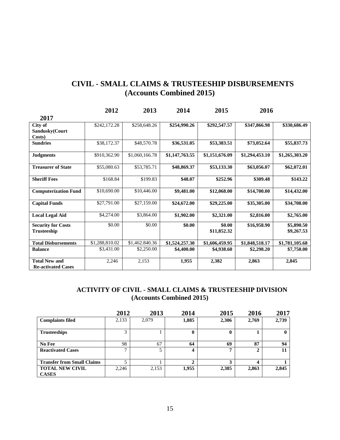#### **CIVIL - SMALL CLAIMS & TRUSTEESHIP DISBURSEMENTS (Accounts Combined 2015)**

|                             | 2012           | 2013           | 2014           | 2015           | 2016           |                |  |
|-----------------------------|----------------|----------------|----------------|----------------|----------------|----------------|--|
| 2017                        |                |                |                |                |                |                |  |
| City of                     | \$242,172.28   | \$258,648.26   | \$254,990.26   | \$292,547.57   | \$347,866.98   | \$330,686.49   |  |
| Sandusky(Court              |                |                |                |                |                |                |  |
| Costs)                      |                |                |                |                |                |                |  |
| <b>Sundries</b>             | \$38,172.37    | \$48,570.78    | \$36,531.05    | \$53,383.51    | \$73,052.64    | \$55,837.73    |  |
| <b>Judgments</b>            | \$910,362.90   | \$1,060,166.78 | \$1,147,763.55 | \$1,151,676.09 | \$1,294,453.10 | \$1,265,303.20 |  |
| <b>Treasurer of State</b>   | \$55,080.63    | \$53,785.71    | \$48,869.37    | \$53,133.30    | \$63,056.07    | \$62,072.01    |  |
| <b>Sheriff Fees</b>         | \$168.84       | \$199.83       | \$48.07        | \$252.96       | \$309.48       | \$143.22       |  |
| <b>Computerization Fund</b> | \$10,690.00    | \$10,446.00    | \$9,481.00     | \$12,068.00    | \$14,700.00    | \$14,432.00    |  |
| <b>Capital Funds</b>        | \$27,791.00    | \$27,159.00    | \$24,672.00    | \$29,225.00    | \$35,305.00    | \$34,708.00    |  |
| <b>Local Legal Aid</b>      | \$4,274.00     | \$3,864.00     | \$1,902.00     | \$2,321.00     | \$2,816.00     | \$2,765.00     |  |
| <b>Security for Costs</b>   | \$0.00         | \$0.00         | \$0.00         | \$0.00         | \$16,958.90    | \$5,890.50     |  |
| <b>Trusteeship</b>          |                |                |                | \$11,852.32    |                | \$9,267.53     |  |
| <b>Total Disbursements</b>  | \$1,288,810.02 | \$1,462.840.36 | \$1,524,257.30 | \$1,606,459.95 | \$1,848,518.17 | \$1,781,105.68 |  |
| <b>Balance</b>              | \$3,431.00     | \$2,250.00     | \$4,400.00     | \$4,938.60     | \$2,298.20     | \$7,750.00     |  |
| <b>Total New and</b>        | 2,246          | 2,153          | 1,955          | 2,382          | 2,863          | 2,845          |  |
| <b>Re-activated Cases</b>   |                |                |                |                |                |                |  |

#### **ACTIVITY OF CIVIL - SMALL CLAIMS & TRUSTEESHIP DIVISION (Accounts Combined 2015)**

|                                   | 2012         | 2013  | 2014  | 2015         | 2016  | 2017         |
|-----------------------------------|--------------|-------|-------|--------------|-------|--------------|
| <b>Complaints filed</b>           | 2,133        | 2,079 | 1,885 | 2,306        | 2,769 | 2,739        |
| <b>Trusteeships</b>               | 3            |       | 0     | 0            |       | $\mathbf{0}$ |
| No Fee                            | 98           | 67    | 64    | 69           | 87    | 94           |
| <b>Reactivated Cases</b>          | $\mathbf{r}$ | 5     | 4     | $\mathbf{r}$ | ↑     | 11           |
| <b>Transfer from Small Claims</b> |              |       | 2     | 3            |       |              |
| <b>TOTAL NEW CIVIL</b>            | 2,246        | 2,153 | 1,955 | 2,385        | 2,863 | 2,845        |
| <b>CASES</b>                      |              |       |       |              |       |              |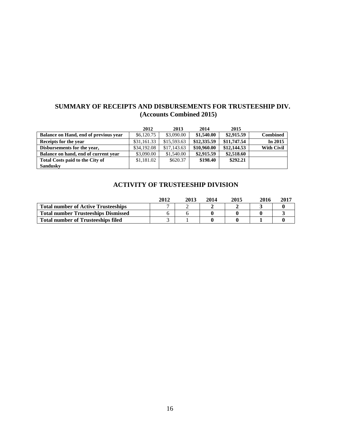#### **SUMMARY OF RECEIPTS AND DISBURSEMENTS FOR TRUSTEESHIP DIV. (Accounts Combined 2015)**

|                                       | 2012        | 2013        | 2014        | 2015        |                   |
|---------------------------------------|-------------|-------------|-------------|-------------|-------------------|
| Balance on Hand, end of previous year | \$6,120.75  | \$3,090.00  | \$1,540.00  | \$2,915.59  | <b>Combined</b>   |
| Receipts for the year                 | \$31,161.33 | \$15,593.63 | \$12,335.59 | \$11,747.54 | In 2015           |
| Disbursements for the year,           | \$34,192.08 | \$17,143.63 | \$10,960.00 | \$12,144.53 | <b>With Civil</b> |
| Balance on hand, end of current year  | \$3,090.00  | \$1,540.00  | \$2,915.59  | \$2,518.60  |                   |
| Total Costs paid to the City of       | \$1,181.02  | \$620.37    | \$198.40    | \$292.21    |                   |
| <b>Sandusky</b>                       |             |             |             |             |                   |

#### **ACTIVITY OF TRUSTEESHIP DIVISION**

|                                            | 2012 | 2013 | 2014 | 2015 | 2016 | 2017 |
|--------------------------------------------|------|------|------|------|------|------|
| <b>Total number of Active Trusteeships</b> |      |      |      |      |      |      |
| <b>Total number Trusteeships Dismissed</b> |      |      |      |      |      |      |
| <b>Total number of Trusteeships filed</b>  |      |      |      |      |      |      |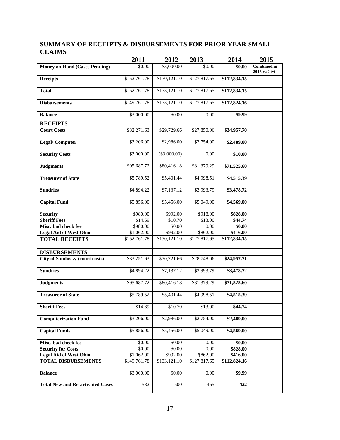#### **SUMMARY OF RECEIPTS & DISBURSEMENTS FOR PRIOR YEAR SMALL CLAIMS**

|                                         | 2011                   | 2012           | 2013         | 2014                 | 2015                               |
|-----------------------------------------|------------------------|----------------|--------------|----------------------|------------------------------------|
| <b>Money on Hand (Cases Pending)</b>    | \$0.00                 | \$3,000.00     | \$0.00       | \$0.00               | <b>Combined</b> in<br>2015 w/Civil |
| <b>Receipts</b>                         | \$152,761.78           | \$130,121.10   | \$127,817.65 | \$112,834.15         |                                    |
| <b>Total</b>                            | \$152,761.78           | \$133,121.10   | \$127,817.65 | \$112,834.15         |                                    |
| <b>Disbursements</b>                    | \$149,761.78           | \$133,121.10   | \$127,817.65 | \$112,824.16         |                                    |
| <b>Balance</b>                          | \$3,000.00             | \$0.00         | 0.00         | \$9.99               |                                    |
| <b>RECEIPTS</b>                         |                        |                |              |                      |                                    |
| <b>Court Costs</b>                      | \$32,271.63            | \$29,729.66    | \$27,850.06  | \$24,957.70          |                                    |
| <b>Legal/Computer</b>                   | \$3,206.00             | \$2,986.00     | \$2,754.00   | \$2,489.00           |                                    |
| <b>Security Costs</b>                   | \$3,000.00             | $(\$3,000.00)$ | 0.00         | \$10.00              |                                    |
| <b>Judgments</b>                        | \$95,687.72            | \$80,416.18    | \$81,379.29  | \$71,525.60          |                                    |
| <b>Treasurer of State</b>               | \$5,789.52             | \$5,401.44     | \$4,998.51   | \$4,515.39           |                                    |
| <b>Sundries</b>                         | \$4,894.22             | \$7,137.12     | \$3,993.79   | \$3,478.72           |                                    |
| <b>Capital Fund</b>                     | \$5,856.00             | \$5,456.00     | \$5,049.00   | \$4,569.00           |                                    |
| <b>Security</b>                         | \$980.00               | \$992.00       | \$918.00     | \$828.00             |                                    |
| <b>Sheriff Fees</b>                     | \$14.69                | \$10.70        | \$13.00      | \$44.74              |                                    |
| Misc. bad check fee                     | \$980.00               | \$0.00         | 0.00         | \$0.00               |                                    |
| <b>Legal Aid of West Ohio</b>           | \$1,062.00             | \$992.00       | \$862.00     | $\overline{$}416.00$ |                                    |
| <b>TOTAL RECEIPTS</b>                   | \$152,761.78           | \$130,121.10   | \$127,817.65 | \$112,834.15         |                                    |
| <b>DISBURSEMENTS</b>                    |                        |                |              |                      |                                    |
| <b>City of Sandusky (court costs)</b>   | \$33,251.63            | \$30,721.66    | \$28,748.06  | \$24,957.71          |                                    |
| <b>Sundries</b>                         | \$4,894.22             | \$7,137.12     | \$3,993.79   | \$3,478.72           |                                    |
| <b>Judgments</b>                        | \$95,687.72            | \$80,416.18    | \$81,379.29  | \$71,525.60          |                                    |
| <b>Treasurer of State</b>               | $\overline{$}5,789.52$ | \$5,401.44     | \$4,998.51   | \$4,515.39           |                                    |
| <b>Sheriff Fees</b>                     | \$14.69                | \$10.70        | \$13.00      | \$44.74              |                                    |
| <b>Computerization Fund</b>             | \$3,206.00             | \$2,986.00     | \$2,754.00   | \$2,489.00           |                                    |
| <b>Capital Funds</b>                    | \$5,856.00             | \$5,456.00     | \$5,049.00   | \$4,569.00           |                                    |
| Misc. bad check fee                     | \$0.00                 | \$0.00         | 0.00         | \$0.00               |                                    |
| <b>Security for Costs</b>               | \$0.00                 | \$0.00         | $0.00\,$     | \$828.00             |                                    |
| <b>Legal Aid of West Ohio</b>           | \$1,062.00             | \$992.00       | \$862.00     | \$416.00             |                                    |
| <b>TOTAL DISBURSEMENTS</b>              | \$149,761.78           | \$133,121.10   | \$127,817.65 | \$112,824.16         |                                    |
| <b>Balance</b>                          | \$3,000.00             | \$0.00         | 0.00         | \$9.99               |                                    |
| <b>Total New and Re-activated Cases</b> | 532                    | 500            | 465          | 422                  |                                    |